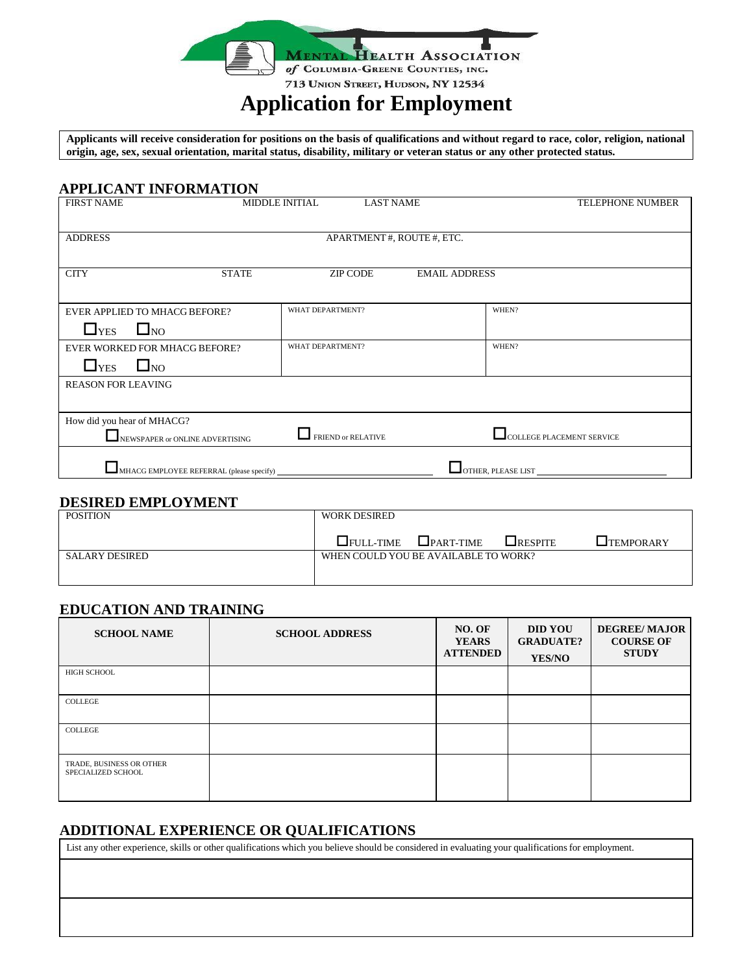

# **Application for Employment**

Applicants will receive consideration for positions on the basis of qualifications and without regard to race, color, religion, national origin, age, sex, sexual orientation, marital status, disability, military or veteran status or any other protected status.

## **APPLICANT INFORMATION**

| <b>FIRST NAME</b>                | <b>MIDDLE INITIAL</b>    | <b>LAST NAME</b>     | <b>TELEPHONE NUMBER</b>          |  |  |  |
|----------------------------------|--------------------------|----------------------|----------------------------------|--|--|--|
|                                  |                          |                      |                                  |  |  |  |
| <b>ADDRESS</b>                   | APARTMENT#, ROUTE#, ETC. |                      |                                  |  |  |  |
|                                  |                          |                      |                                  |  |  |  |
| <b>STATE</b><br><b>CITY</b>      | <b>ZIP CODE</b>          | <b>EMAIL ADDRESS</b> |                                  |  |  |  |
|                                  |                          |                      |                                  |  |  |  |
| EVER APPLIED TO MHACG BEFORE?    | WHAT DEPARTMENT?         |                      | WHEN?                            |  |  |  |
| $\square_{\rm NO}$<br>$\Box$ YES |                          |                      |                                  |  |  |  |
| EVER WORKED FOR MHACG BEFORE?    | <b>WHAT DEPARTMENT?</b>  |                      | WHEN?                            |  |  |  |
| $\Box$ YES<br>$\square_{\rm NO}$ |                          |                      |                                  |  |  |  |
| <b>REASON FOR LEAVING</b>        |                          |                      |                                  |  |  |  |
|                                  |                          |                      |                                  |  |  |  |
| How did you hear of MHACG?       |                          |                      |                                  |  |  |  |
| NEWSPAPER or ONLINE ADVERTISING  | FRIEND or RELATIVE       |                      | <b>COLLEGE PLACEMENT SERVICE</b> |  |  |  |
|                                  |                          |                      |                                  |  |  |  |
|                                  |                          |                      | OTHER, PLEASE LIST               |  |  |  |

# **DESIRED EMPLOYMENT**

| <b>POSITION</b> | <b>WORK DESIRED</b>                  |               |             |                  |
|-----------------|--------------------------------------|---------------|-------------|------------------|
|                 | $\Box$ FULL-TIME                     | $L$ PART-TIME | $L$ RESPITE | <b>TEMPORARY</b> |
| SALARY DESIRED  | WHEN COULD YOU BE AVAILABLE TO WORK? |               |             |                  |
|                 |                                      |               |             |                  |

# **EDUCATION AND TRAINING**

| <b>SCHOOL NAME</b>                             | <b>SCHOOL ADDRESS</b> | NO. OF<br><b>YEARS</b><br><b>ATTENDED</b> | <b>DID YOU</b><br><b>GRADUATE?</b><br><b>YES/NO</b> | <b>DEGREE/MAJOR</b><br><b>COURSE OF</b><br><b>STUDY</b> |
|------------------------------------------------|-----------------------|-------------------------------------------|-----------------------------------------------------|---------------------------------------------------------|
| <b>HIGH SCHOOL</b>                             |                       |                                           |                                                     |                                                         |
| COLLEGE                                        |                       |                                           |                                                     |                                                         |
| COLLEGE                                        |                       |                                           |                                                     |                                                         |
| TRADE, BUSINESS OR OTHER<br>SPECIALIZED SCHOOL |                       |                                           |                                                     |                                                         |

## **ADDITIONAL EXPERIENCE OR QUALIFICATIONS**

List any other experience, skills or other qualifications which you believe should be considered in evaluating your qualifications for employment.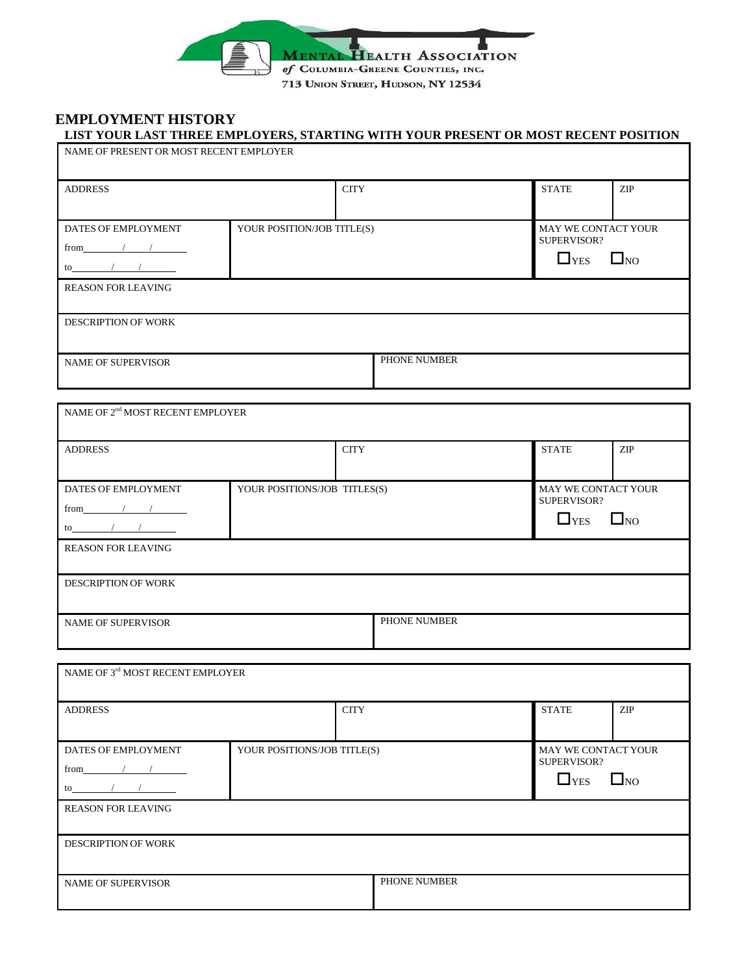

## **EMPLOYMENT HISTORY LIST YOUR LAST THREE EMPLOYERS, STARTING WITH YOUR PRESENT OR MOST RECENT POSITION**

| NAME OF PRESENT OR MOST RECENT EMPLOYER                                                                                                                                                                                                                                                                                                                                                                              |                              |             |              |                                    |                             |
|----------------------------------------------------------------------------------------------------------------------------------------------------------------------------------------------------------------------------------------------------------------------------------------------------------------------------------------------------------------------------------------------------------------------|------------------------------|-------------|--------------|------------------------------------|-----------------------------|
| <b>ADDRESS</b>                                                                                                                                                                                                                                                                                                                                                                                                       |                              | <b>CITY</b> |              | <b>STATE</b>                       | ZIP                         |
| DATES OF EMPLOYMENT                                                                                                                                                                                                                                                                                                                                                                                                  | YOUR POSITION/JOB TITLE(S)   |             |              | MAY WE CONTACT YOUR                |                             |
| from $\sqrt{1-\frac{1}{2}}$                                                                                                                                                                                                                                                                                                                                                                                          |                              |             |              | SUPERVISOR?                        |                             |
| $\frac{1}{\sqrt{1-\frac{1}{2}}}$                                                                                                                                                                                                                                                                                                                                                                                     |                              |             |              | $\Box$ YES                         | $\square_{\rm NO}$          |
| <b>REASON FOR LEAVING</b>                                                                                                                                                                                                                                                                                                                                                                                            |                              |             |              |                                    |                             |
| DESCRIPTION OF WORK                                                                                                                                                                                                                                                                                                                                                                                                  |                              |             |              |                                    |                             |
| <b>NAME OF SUPERVISOR</b>                                                                                                                                                                                                                                                                                                                                                                                            |                              |             | PHONE NUMBER |                                    |                             |
| NAME OF $2^{\rm nd}$ MOST RECENT EMPLOYER                                                                                                                                                                                                                                                                                                                                                                            |                              |             |              |                                    |                             |
| <b>ADDRESS</b>                                                                                                                                                                                                                                                                                                                                                                                                       |                              | <b>CITY</b> |              | <b>STATE</b>                       | <b>ZIP</b>                  |
| DATES OF EMPLOYMENT                                                                                                                                                                                                                                                                                                                                                                                                  | YOUR POSITIONS/JOB TITLES(S) |             |              | MAY WE CONTACT YOUR                |                             |
| from $\sqrt{1-\frac{1}{2}}$                                                                                                                                                                                                                                                                                                                                                                                          |                              |             |              | SUPERVISOR?                        |                             |
| $\frac{1}{\sqrt{1-\frac{1}{2}}\sqrt{1-\frac{1}{2}}\sqrt{1-\frac{1}{2}}\sqrt{1-\frac{1}{2}}\sqrt{1-\frac{1}{2}}\sqrt{1-\frac{1}{2}}\sqrt{1-\frac{1}{2}}\sqrt{1-\frac{1}{2}}\sqrt{1-\frac{1}{2}}\sqrt{1-\frac{1}{2}}\sqrt{1-\frac{1}{2}}\sqrt{1-\frac{1}{2}}\sqrt{1-\frac{1}{2}}\sqrt{1-\frac{1}{2}}\sqrt{1-\frac{1}{2}}\sqrt{1-\frac{1}{2}}\sqrt{1-\frac{1}{2}}\sqrt{1-\frac{1}{2}}\sqrt{1-\frac{1}{2}}\sqrt{1-\frac$ |                              |             |              | $\Box$ YES                         | $\square_{\rm NO}$          |
| <b>REASON FOR LEAVING</b>                                                                                                                                                                                                                                                                                                                                                                                            |                              |             |              |                                    |                             |
| <b>DESCRIPTION OF WORK</b>                                                                                                                                                                                                                                                                                                                                                                                           |                              |             |              |                                    |                             |
| <b>NAME OF SUPERVISOR</b>                                                                                                                                                                                                                                                                                                                                                                                            |                              |             | PHONE NUMBER |                                    |                             |
| NAME OF $3^{\rm rd}$ MOST RECENT EMPLOYER                                                                                                                                                                                                                                                                                                                                                                            |                              |             |              |                                    |                             |
| <b>ADDRESS</b>                                                                                                                                                                                                                                                                                                                                                                                                       |                              | <b>CITY</b> |              | <b>STATE</b>                       | $\ensuremath{\mathrm{ZIP}}$ |
| DATES OF EMPLOYMENT                                                                                                                                                                                                                                                                                                                                                                                                  | YOUR POSITIONS/JOB TITLE(S)  |             |              | MAY WE CONTACT YOUR<br>SUPERVISOR? |                             |
| from $\sqrt{1-\frac{1}{2}}$                                                                                                                                                                                                                                                                                                                                                                                          |                              |             |              | $\Box$ YES                         | $\square_{\rm NO}$          |
| $\mathsf{to}$ / /                                                                                                                                                                                                                                                                                                                                                                                                    |                              |             |              |                                    |                             |
| <b>REASON FOR LEAVING</b>                                                                                                                                                                                                                                                                                                                                                                                            |                              |             |              |                                    |                             |
| DESCRIPTION OF WORK                                                                                                                                                                                                                                                                                                                                                                                                  |                              |             |              |                                    |                             |
| NAME OF SUPERVISOR                                                                                                                                                                                                                                                                                                                                                                                                   |                              |             | PHONE NUMBER |                                    |                             |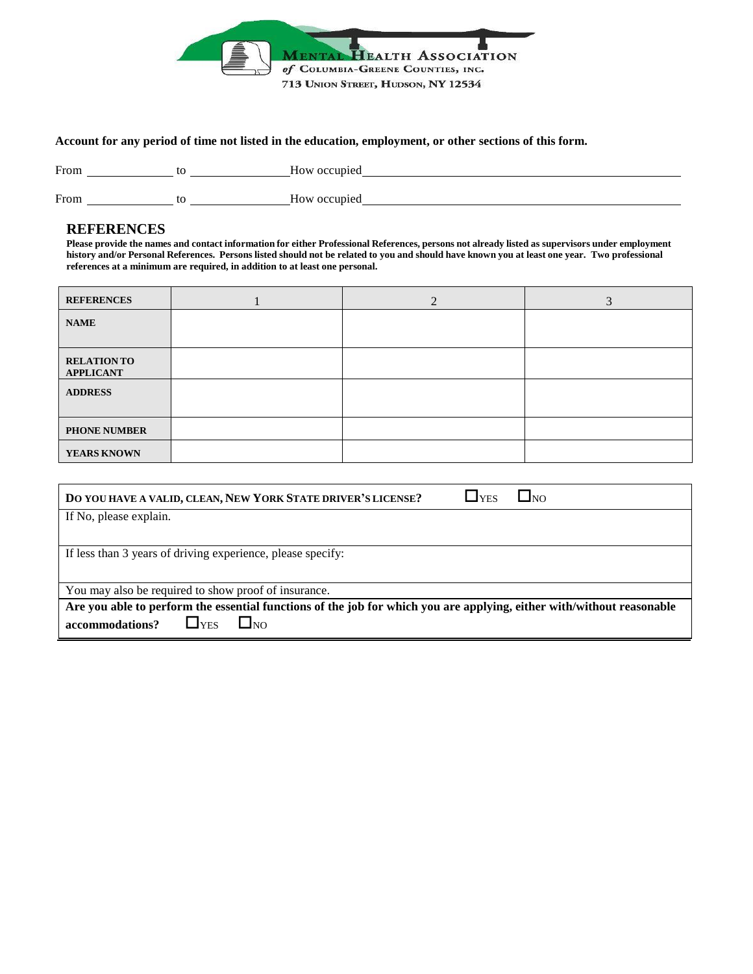

#### Account for any period of time not listed in the education, employment, or other sections of this form.

| From | How occupied    |
|------|-----------------|
| From | occupied<br>HOW |

## **REFERENCES**

Please provide the names and contact information for either Professional References, persons not already listed as supervisors under employment history and/or Personal References. Persons listed should not be related to you and should have known you at least one year. Two professional **references at a minimum are required, in addition to at least one personal.**

| <b>REFERENCES</b>                      | $\overline{2}$ | 3 |
|----------------------------------------|----------------|---|
| <b>NAME</b>                            |                |   |
| <b>RELATION TO</b><br><b>APPLICANT</b> |                |   |
| <b>ADDRESS</b>                         |                |   |
| <b>PHONE NUMBER</b>                    |                |   |
| YEARS KNOWN                            |                |   |

| DO YOU HAVE A VALID, CLEAN, NEW YORK STATE DRIVER'S LICENSE?                                                                                      | L <sub>YES</sub> | <b>J</b> NO |  |
|---------------------------------------------------------------------------------------------------------------------------------------------------|------------------|-------------|--|
| If No, please explain.                                                                                                                            |                  |             |  |
|                                                                                                                                                   |                  |             |  |
| If less than 3 years of driving experience, please specify:                                                                                       |                  |             |  |
|                                                                                                                                                   |                  |             |  |
| You may also be required to show proof of insurance.                                                                                              |                  |             |  |
| Are you able to perform the essential functions of the job for which you are applying, either with/without reasonable<br>accommodations?<br>l Ino |                  |             |  |